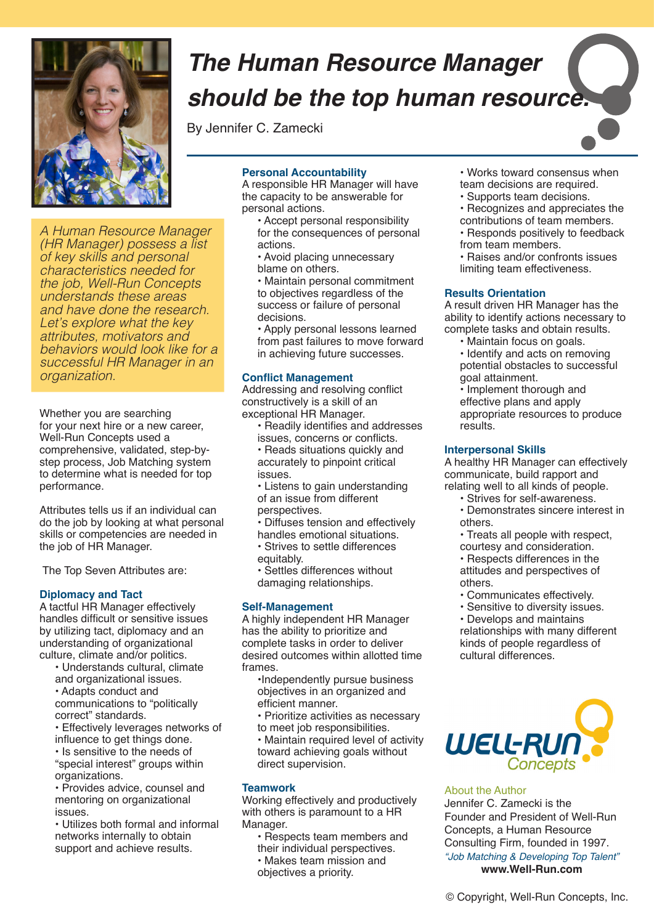

*A Human Resource Manager (HR Manager) possess a list of key skills and personal characteristics needed for the job, Well-Run Concepts understands these areas and have done the research. Let's explore what the key attributes, motivators and behaviors would look like for a successful HR Manager in an organization.*

Whether you are searching for your next hire or a new career, Well-Run Concepts used a comprehensive, validated, step-bystep process, Job Matching system to determine what is needed for top performance.

Attributes tells us if an individual can do the job by looking at what personal skills or competencies are needed in the job of HR Manager.

The Top Seven Attributes are:

#### **Diplomacy and Tact**

A tactful HR Manager effectively handles difficult or sensitive issues by utilizing tact, diplomacy and an understanding of organizational culture, climate and/or politics.

- Understands cultural, climate
- and organizational issues.
- Adapts conduct and

communications to "politically correct" standards.

• Effectively leverages networks of influence to get things done. • Is sensitive to the needs of

"special interest" groups within organizations.

• Provides advice, counsel and mentoring on organizational issues.

• Utilizes both formal and informal networks internally to obtain support and achieve results.

# *The Human Resource Manager should be the top human resource.*

By Jennifer C. Zamecki

#### **Personal Accountability**

A responsible HR Manager will have the capacity to be answerable for personal actions.

- Accept personal responsibility for the consequences of personal actions.
- Avoid placing unnecessary blame on others.
- Maintain personal commitment to objectives regardless of the success or failure of personal decisions.

• Apply personal lessons learned from past failures to move forward in achieving future successes.

#### **Conflict Management**

Addressing and resolving conflict constructively is a skill of an exceptional HR Manager.

- Readily identifies and addresses issues, concerns or conflicts.
- Reads situations quickly and accurately to pinpoint critical issues.
- Listens to gain understanding of an issue from different perspectives.
- Diffuses tension and effectively
- handles emotional situations.
- Strives to settle differences equitably.
- Settles differences without damaging relationships.

# **Self-Management**

A highly independent HR Manager has the ability to prioritize and complete tasks in order to deliver desired outcomes within allotted time frames.

- •Independently pursue business objectives in an organized and efficient manner.
- Prioritize activities as necessary to meet job responsibilities.

• Maintain required level of activity toward achieving goals without direct supervision.

# **Teamwork**

Working effectively and productively with others is paramount to a HR Manager.

- Respects team members and their individual perspectives.
- Makes team mission and
- objectives a priority.
- Works toward consensus when team decisions are required.
- Supports team decisions.
- Recognizes and appreciates the contributions of team members.
- Responds positively to feedback from team members.
- Raises and/or confronts issues limiting team effectiveness.

#### **Results Orientation**

A result driven HR Manager has the ability to identify actions necessary to complete tasks and obtain results.

- Maintain focus on goals.
- Identify and acts on removing potential obstacles to successful goal attainment.
- Implement thorough and

effective plans and apply appropriate resources to produce results.

# **Interpersonal Skills**

A healthy HR Manager can effectively communicate, build rapport and relating well to all kinds of people.

- Strives for self-awareness.
- Demonstrates sincere interest in others.
- Treats all people with respect, courtesy and consideration.

• Respects differences in the attitudes and perspectives of others.

- Communicates effectively.
- Sensitive to diversity issues.

• Develops and maintains relationships with many different kinds of people regardless of cultural differences.



# About the Author

Jennifer C. Zamecki is the Founder and President of Well-Run Concepts, a Human Resource Consulting Firm, founded in 1997. *"Job Matching & Developing Top Talent"* **www.Well-Run.com**